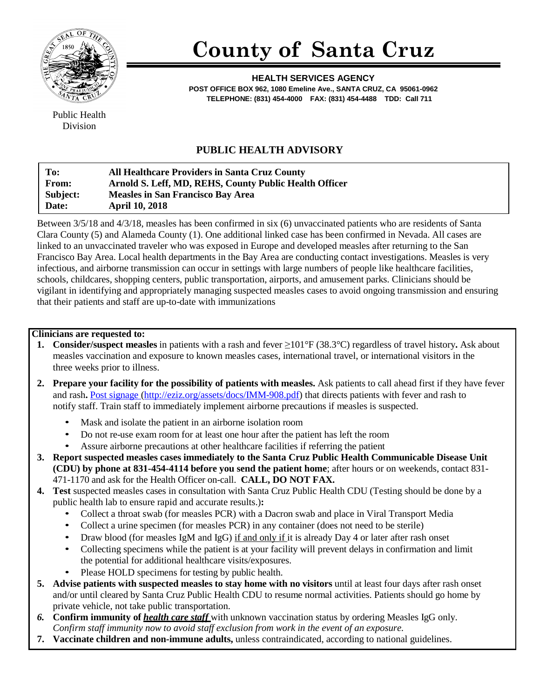

## **County of Santa Cruz**

**HEALTH SERVICES AGENCY POST OFFICE BOX 962, 1080 Emeline Ave., SANTA CRUZ, CA 95061-0962 TELEPHONE: (831) 454-4000 FAX: (831) 454-4488 TDD: Call 711**

Public Health Division

## **PUBLIC HEALTH ADVISORY**

| To:          | <b>All Healthcare Providers in Santa Cruz County</b>   |
|--------------|--------------------------------------------------------|
| <b>From:</b> | Arnold S. Leff, MD, REHS, County Public Health Officer |
| Subject:     | <b>Measles in San Francisco Bay Area</b>               |
| Date:        | <b>April 10, 2018</b>                                  |

Between 3/5/18 and 4/3/18, measles has been confirmed in six (6) unvaccinated patients who are residents of Santa Clara County (5) and Alameda County (1). One additional linked case has been confirmed in Nevada. All cases are linked to an unvaccinated traveler who was exposed in Europe and developed measles after returning to the San Francisco Bay Area. Local health departments in the Bay Area are conducting contact investigations. Measles is very infectious, and airborne transmission can occur in settings with large numbers of people like healthcare facilities, schools, childcares, shopping centers, public transportation, airports, and amusement parks. Clinicians should be vigilant in identifying and appropriately managing suspected measles cases to avoid ongoing transmission and ensuring that their patients and staff are up-to-date with immunizations

## **Clinicians are requested to:**

- **1. Consider/suspect measles** in patients with a rash and fever ≥101°F (38.3°C) regardless of travel history**.** Ask about measles vaccination and exposure to known measles cases, international travel, or international visitors in the three weeks prior to illness.
- **2. Prepare your facility for the possibility of patients with measles.** Ask patients to call ahead first if they have fever and rash**.** Post [signage \(http://eziz.org/assets/docs/IMM-908.pdf\)](http://eziz.org/assets/docs/IMM-908.pdf) that directs patients with fever and rash to notify staff. Train staff to immediately implement airborne precautions if measles is suspected.
	- Mask and isolate the patient in an airborne isolation room
	- Do not re-use exam room for at least one hour after the patient has left the room
	- Assure airborne precautions at other healthcare facilities if referring the patient
- **3. Report suspected measles cases immediately to the Santa Cruz Public Health Communicable Disease Unit (CDU) by phone at 831-454-4114 before you send the patient home**; after hours or on weekends, contact 831- 471-1170 and ask for the Health Officer on-call. **CALL, DO NOT FAX.**
- **4. Test** suspected measles cases in consultation with Santa Cruz Public Health CDU (Testing should be done by a public health lab to ensure rapid and accurate results.)**:**
	- Collect a throat swab (for measles PCR) with a Dacron swab and place in Viral Transport Media
	- Collect a urine specimen (for measles PCR) in any container (does not need to be sterile)
	- Draw blood (for measles IgM and IgG) if and only if it is already Day 4 or later after rash onset
	- Collecting specimens while the patient is at your facility will prevent delays in confirmation and limit the potential for additional healthcare visits/exposures.
	- Please HOLD specimens for testing by public health.
- **5. Advise patients with suspected measles to stay home with no visitors** until at least four days after rash onset and/or until cleared by Santa Cruz Public Health CDU to resume normal activities. Patients should go home by private vehicle, not take public transportation.
- *6.* **Confirm immunity of** *health care staff* with unknown vaccination status by ordering Measles IgG only. *Confirm staff immunity now to avoid staff exclusion from work in the event of an exposure.*
- **7. Vaccinate children and non-immune adults,** unless contraindicated, according to national guidelines.